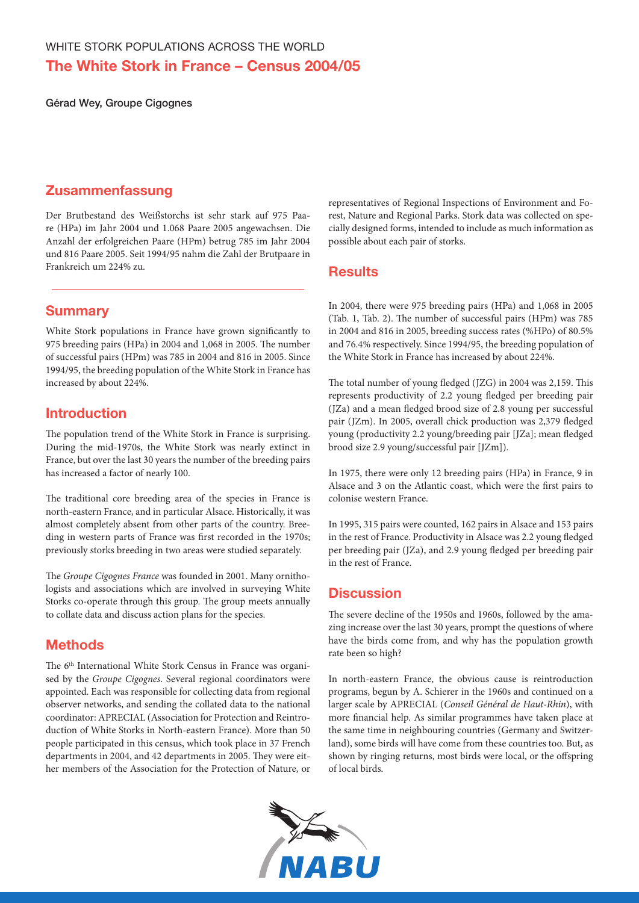Gérad Wey, Groupe Cigognes

### Zusammenfassung

Der Brutbestand des Weißstorchs ist sehr stark auf 975 Paare (HPa) im Jahr 2004 und 1.068 Paare 2005 angewachsen. Die Anzahl der erfolgreichen Paare (HPm) betrug 785 im Jahr 2004 und 816 Paare 2005. Seit 1994/95 nahm die Zahl der Brutpaare in Frankreich um 224% zu.

# **Summary**

White Stork populations in France have grown significantly to 975 breeding pairs (HPa) in 2004 and 1,068 in 2005. The number of successful pairs (HPm) was 785 in 2004 and 816 in 2005. Since 1994/95, the breeding population of the White Stork in France has increased by about 224%.

# Introduction

The population trend of the White Stork in France is surprising. During the mid-1970s, the White Stork was nearly extinct in France, but over the last 30 years the number of the breeding pairs has increased a factor of nearly 100.

The traditional core breeding area of the species in France is north-eastern France, and in particular Alsace. Historically, it was almost completely absent from other parts of the country. Breeding in western parts of France was first recorded in the 1970s; previously storks breeding in two areas were studied separately.

The *Groupe Cigognes France* was founded in 2001. Many ornithologists and associations which are involved in surveying White Storks co-operate through this group. The group meets annually to collate data and discuss action plans for the species.

# **Methods**

The 6<sup>th</sup> International White Stork Census in France was organised by the *Groupe Cigognes*. Several regional coordinators were appointed. Each was responsible for collecting data from regional observer networks, and sending the collated data to the national coordinator: APRECIAL (Association for Protection and Reintroduction of White Storks in North-eastern France). More than 50 people participated in this census, which took place in 37 French departments in 2004, and 42 departments in 2005. They were either members of the Association for the Protection of Nature, or representatives of Regional Inspections of Environment and Forest, Nature and Regional Parks. Stork data was collected on specially designed forms, intended to include as much information as possible about each pair of storks.

### **Results**

In 2004, there were 975 breeding pairs (HPa) and 1,068 in 2005 (Tab. 1, Tab. 2). The number of successful pairs (HPm) was 785 in 2004 and 816 in 2005, breeding success rates (%HPo) of 80.5% and 76.4% respectively. Since 1994/95, the breeding population of the White Stork in France has increased by about 224%.

The total number of young fledged (JZG) in 2004 was 2,159. This represents productivity of 2.2 young fledged per breeding pair (JZa) and a mean fledged brood size of 2.8 young per successful pair (JZm). In 2005, overall chick production was 2,379 fledged young (productivity 2.2 young/breeding pair [JZa]; mean fledged brood size 2.9 young/successful pair [JZm]).

In 1975, there were only 12 breeding pairs (HPa) in France, 9 in Alsace and 3 on the Atlantic coast, which were the first pairs to colonise western France.

In 1995, 315 pairs were counted, 162 pairs in Alsace and 153 pairs in the rest of France. Productivity in Alsace was 2.2 young fledged per breeding pair (JZa), and 2.9 young fledged per breeding pair in the rest of France.

# **Discussion**

The severe decline of the 1950s and 1960s, followed by the amazing increase over the last 30 years, prompt the questions of where have the birds come from, and why has the population growth rate been so high?

In north-eastern France, the obvious cause is reintroduction programs, begun by A. Schierer in the 1960s and continued on a larger scale by APRECIAL (*Conseil Général de Haut-Rhin*), with more financial help. As similar programmes have taken place at the same time in neighbouring countries (Germany and Switzerland), some birds will have come from these countries too. But, as shown by ringing returns, most birds were local, or the offspring of local birds.

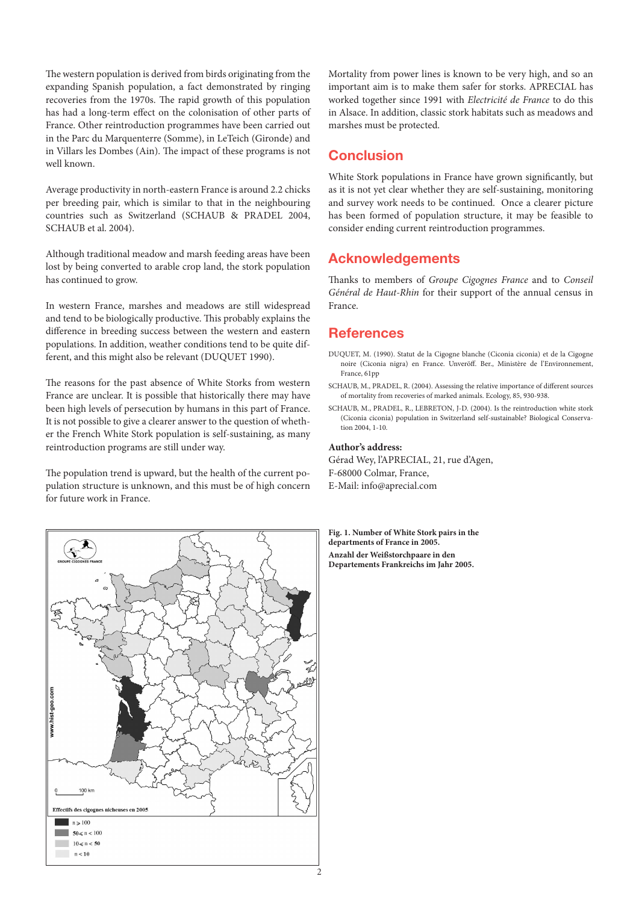The western population is derived from birds originating from the expanding Spanish population, a fact demonstrated by ringing recoveries from the 1970s. The rapid growth of this population has had a long-term effect on the colonisation of other parts of France. Other reintroduction programmes have been carried out in the Parc du Marquenterre (Somme), in LeTeich (Gironde) and in Villars les Dombes (Ain). The impact of these programs is not well known.

Average productivity in north-eastern France is around 2.2 chicks per breeding pair, which is similar to that in the neighbouring countries such as Switzerland (SCHAUB & PRADEL 2004, SCHAUB et al. 2004).

Although traditional meadow and marsh feeding areas have been lost by being converted to arable crop land, the stork population has continued to grow.

In western France, marshes and meadows are still widespread and tend to be biologically productive. This probably explains the difference in breeding success between the western and eastern populations. In addition, weather conditions tend to be quite different, and this might also be relevant (DUQUET 1990).

The reasons for the past absence of White Storks from western France are unclear. It is possible that historically there may have been high levels of persecution by humans in this part of France. It is not possible to give a clearer answer to the question of whether the French White Stork population is self-sustaining, as many reintroduction programs are still under way.

The population trend is upward, but the health of the current population structure is unknown, and this must be of high concern for future work in France.



Mortality from power lines is known to be very high, and so an important aim is to make them safer for storks. APRECIAL has worked together since 1991 with *Electricité de France* to do this in Alsace. In addition, classic stork habitats such as meadows and marshes must be protected.

### **Conclusion**

White Stork populations in France have grown significantly, but as it is not yet clear whether they are self-sustaining, monitoring and survey work needs to be continued. Once a clearer picture has been formed of population structure, it may be feasible to consider ending current reintroduction programmes.

### Acknowledgements

Thanks to members of *Groupe Cigognes France* and to *Conseil Général de Haut-Rhin* for their support of the annual census in France.

### **References**

- DUQUET, M. (1990). Statut de la Cigogne blanche (Ciconia ciconia) et de la Cigogne noire (Ciconia nigra) en France. Unveröff. Ber., Ministère de l'Environnement, France, 61pp
- SCHAUB, M., PRADEL, R. (2004). Assessing the relative importance of different sources of mortality from recoveries of marked animals. Ecology, 85, 930-938.
- SCHAUB, M., PRADEL, R., LEBRETON, J-D. (2004). Is the reintroduction white stork (Ciconia ciconia) population in Switzerland self-sustainable? Biological Conservation 2004, 1-10.

#### **Author's address:**

Gérad Wey, l'APRECIAL, 21, rue d'Agen, F-68000 Colmar, France, E-Mail: info@aprecial.com

**Fig. 1. Number of White Stork pairs in the departments of France in 2005. Anzahl der Weißstorchpaare in den Departements Frankreichs im Jahr 2005.**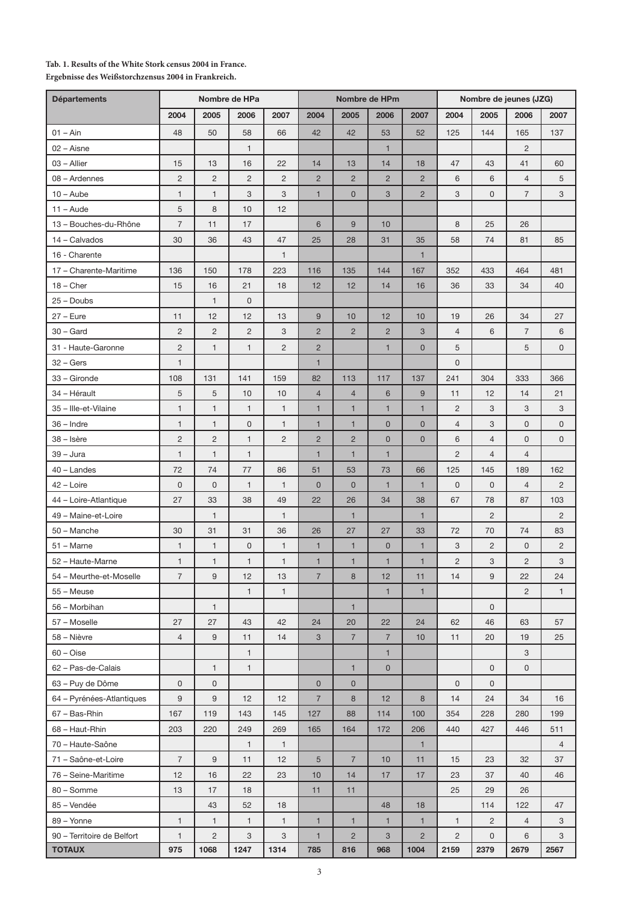#### **Tab. 1. Results of the White Stork census 2004 in France. Ergebnisse des Weißstorchzensus 2004 in Frankreich.**

| <b>Départements</b>        | Nombre de HPa  |                  |                |                | Nombre de HPm  |                |                           |                | Nombre de jeunes (JZG) |                |                |                |
|----------------------------|----------------|------------------|----------------|----------------|----------------|----------------|---------------------------|----------------|------------------------|----------------|----------------|----------------|
|                            | 2004           | 2005             | 2006           | 2007           | 2004           | 2005           | 2006                      | 2007           | 2004                   | 2005           | 2006           | 2007           |
| $01 - Ain$                 | 48             | 50               | 58             | 66             | 42             | 42             | 53                        | 52             | 125                    | 144            | 165            | 137            |
| $02 - A$ isne              |                |                  | $\mathbf{1}$   |                |                |                | $\mathbf{1}$              |                |                        |                | $\overline{c}$ |                |
| 03 - Allier                | 15             | 13               | 16             | 22             | 14             | 13             | 14                        | 18             | 47                     | 43             | 41             | 60             |
| 08 - Ardennes              | $\overline{c}$ | $\overline{2}$   | $\overline{c}$ | $\overline{c}$ | $\overline{2}$ | $\overline{2}$ | $\overline{2}$            | $\overline{2}$ | 6                      | 6              | $\overline{4}$ | 5              |
| $10 -$ Aube                | $\mathbf{1}$   | $\mathbf{1}$     | 3              | 3              | $\mathbf{1}$   | $\mathbf 0$    | $\ensuremath{\mathsf{3}}$ | $\overline{2}$ | 3                      | $\mathbf 0$    | $\overline{7}$ | 3              |
| $11 - A$ ude               | 5              | 8                | 10             | 12             |                |                |                           |                |                        |                |                |                |
| 13 - Bouches-du-Rhône      | $\overline{7}$ | 11               | 17             |                | 6              | 9              | 10                        |                | 8                      | 25             | 26             |                |
| 14 - Calvados              | 30             | 36               | 43             | 47             | 25             | 28             | 31                        | 35             | 58                     | 74             | 81             | 85             |
| 16 - Charente              |                |                  |                | $\mathbf{1}$   |                |                |                           | $\mathbf{1}$   |                        |                |                |                |
| 17 - Charente-Maritime     | 136            | 150              | 178            | 223            | 116            | 135            | 144                       | 167            | 352                    | 433            | 464            | 481            |
| $18 -$ Cher                | 15             | 16               | 21             | 18             | 12             | 12             | 14                        | 16             | 36                     | 33             | 34             | 40             |
| $25 -$ Doubs               |                | $\mathbf{1}$     | $\mathsf 0$    |                |                |                |                           |                |                        |                |                |                |
| $27 - E$ ure               | 11             | 12               | 12             | 13             | $\overline{9}$ | 10             | 12                        | 10             | 19                     | 26             | 34             | 27             |
| $30 -$ Gard                | $\overline{c}$ | $\overline{c}$   | $\overline{c}$ | 3              | $\overline{2}$ | $\overline{2}$ | $\overline{2}$            | 3              | $\overline{4}$         | 6              | $\overline{7}$ | 6              |
| 31 - Haute-Garonne         | $\overline{c}$ | $\mathbf{1}$     | $\mathbf{1}$   | $\overline{c}$ | $\overline{2}$ |                | $\mathbf{1}$              | $\mathbf 0$    | 5                      |                | 5              | $\mathsf{O}$   |
| $32 - Gers$                | 1              |                  |                |                | $\mathbf{1}$   |                |                           |                | $\mathbf 0$            |                |                |                |
| 33 - Gironde               | 108            | 131              | 141            | 159            | 82             | 113            | 117                       | 137            | 241                    | 304            | 333            | 366            |
| 34 – Hérault               | 5              | 5                | 10             | 10             | $\overline{4}$ | 4              | $6\phantom{1}6$           | 9              | 11                     | 12             | 14             | 21             |
| 35 - Ille-et-Vilaine       | $\mathbf{1}$   | $\mathbf{1}$     | $\mathbf{1}$   | $\mathbf{1}$   | $\mathbf{1}$   | $\mathbf{1}$   | $\mathbf{1}$              | $\mathbf{1}$   | $\overline{c}$         | 3              | 3              | 3              |
| $36$ – Indre               | $\mathbf{1}$   | $\mathbf{1}$     | $\mathsf 0$    | 1              | $\mathbf{1}$   | $\mathbf{1}$   | $\mathbf 0$               | $\mathbf 0$    | $\overline{4}$         | 3              | $\mathsf{O}$   | $\mathbf 0$    |
| 38 - Isère                 | $\overline{c}$ | $\overline{c}$   | $\mathbf{1}$   | $\overline{c}$ | $\overline{c}$ | $\overline{c}$ | $\mathbf 0$               | $\mathbf 0$    | 6                      | 4              | 0              | $\mathbf 0$    |
| $39 - Jura$                | $\mathbf{1}$   | $\mathbf{1}$     | $\mathbf{1}$   |                | $\mathbf{1}$   | $\mathbf{1}$   | $\mathbf{1}$              |                | $\overline{c}$         | $\overline{4}$ | $\overline{4}$ |                |
| 40 - Landes                | 72             | 74               | 77             | 86             | 51             | 53             | 73                        | 66             | 125                    | 145            | 189            | 162            |
| 42 - Loire                 | $\mathsf 0$    | $\mathbf 0$      | $\mathbf{1}$   | $\mathbf{1}$   | $\mathbf 0$    | $\mathbf 0$    | $\mathbf{1}$              | $\mathbf{1}$   | $\mathbf 0$            | $\mathbf 0$    | $\overline{4}$ | $\overline{2}$ |
| 44 - Loire-Atlantique      | 27             | 33               | 38             | 49             | 22             | 26             | 34                        | 38             | 67                     | 78             | 87             | 103            |
| 49 - Maine-et-Loire        |                | $\mathbf{1}$     |                | $\mathbf{1}$   |                | $\mathbf{1}$   |                           | $\mathbf{1}$   |                        | $\overline{c}$ |                | $\overline{2}$ |
| 50 - Manche                | 30             | 31               | 31             | 36             | 26             | 27             | 27                        | 33             | 72                     | 70             | 74             | 83             |
| $51 - \text{Marne}$        | $\mathbf{1}$   | $\mathbf{1}$     | $\mathsf 0$    | $\mathbf{1}$   | $\mathbf{1}$   | $\mathbf{1}$   | $\pmb{0}$                 | $\mathbf{1}$   | 3                      | $\overline{c}$ | 0              | $\overline{c}$ |
| 52 - Haute-Marne           | 1              | $\mathbf{1}$     | 1              | $\mathbf{1}$   | $\mathbf{1}$   | $\mathbf{1}$   | $\mathbf{1}$              | $\mathbf{1}$   | $\overline{c}$         | 3              | $\overline{c}$ | 3              |
| 54 - Meurthe-et-Moselle    | 7              | 9                | 12             | 13             | $\overline{7}$ | 8              | 12                        | 11             | 14                     | 9              | 22             | 24             |
| 55 – Meuse                 |                |                  | $\mathbf{1}$   | $\mathbf{1}$   |                |                | $\mathbf{1}$              | $\overline{1}$ |                        |                | $\overline{2}$ | $\mathbf{1}$   |
| 56 - Morbihan              |                | $\mathbf{1}$     |                |                |                | 1              |                           |                |                        | 0              |                |                |
| 57 - Moselle               | 27             | 27               | 43             | 42             | 24             | 20             | 22                        | 24             | 62                     | 46             | 63             | 57             |
| 58 - Nièvre                | $\overline{4}$ | $\boldsymbol{9}$ | 11             | 14             | 3              | $\overline{7}$ | $\overline{7}$            | 10             | 11                     | 20             | 19             | 25             |
| $60 - Oise$                |                |                  | 1              |                |                |                | $\mathbf{1}$              |                |                        |                | 3              |                |
| 62 - Pas-de-Calais         |                | $\mathbf{1}$     | $\mathbf{1}$   |                |                | $\mathbf{1}$   | $\mathbf 0$               |                |                        | $\mathsf{O}$   | $\mathsf{O}$   |                |
| 63 - Puy de Dôme           | 0              | $\mathsf{O}$     |                |                | $\mathbf 0$    | $\mathbf 0$    |                           |                | 0                      | 0              |                |                |
| 64 - Pyrénées-Atlantiques  | 9              | 9                | 12             | 12             | $\overline{7}$ | 8              | 12                        | 8              | 14                     | 24             | 34             | 16             |
| 67 - Bas-Rhin              | 167            | 119              | 143            | 145            | 127            | 88             | 114                       | 100            | 354                    | 228            | 280            | 199            |
| 68 - Haut-Rhin             | 203            | 220              | 249            | 269            | 165            | 164            | 172                       | 206            | 440                    | 427            | 446            | 511            |
| 70 - Haute-Saône           |                |                  | $\mathbf{1}$   | $\mathbf{1}$   |                |                |                           | $\mathbf{1}$   |                        |                |                | $\overline{4}$ |
| 71 - Saône-et-Loire        | $\overline{7}$ | 9                | 11             | 12             | 5              | $\overline{7}$ | 10                        | 11             | 15                     | 23             | 32             | 37             |
| 76 - Seine-Maritime        | 12             | 16               | 22             | 23             | 10             | 14             | 17                        | 17             | 23                     | 37             | 40             | 46             |
| 80 - Somme                 | 13             | 17               | 18             |                | 11             | 11             |                           |                | 25                     | 29             | 26             |                |
| 85 – Vendée                |                | 43               | 52             | 18             |                |                | 48                        | 18             |                        | 114            | 122            | 47             |
| 89 - Yonne                 | $\mathbf{1}$   | $\mathbf{1}$     | 1              | $\mathbf{1}$   | $\mathbf{1}$   | $\mathbf{1}$   | $\mathbf{1}$              | $\mathbf{1}$   | $\mathbf{1}$           | $\overline{c}$ | $\overline{4}$ | 3              |
| 90 - Territoire de Belfort | $\mathbf{1}$   | $\overline{c}$   | 3              | 3              | $\mathbf{1}$   | $\overline{2}$ | $\mathbf{3}$              | $\overline{2}$ | $\overline{2}$         | $\mathsf{O}$   | 6              | 3              |
| <b>TOTAUX</b>              | 975            | 1068             | 1247           | 1314           | 785            | 816            | 968                       | 1004           | 2159                   | 2379           | 2679           | 2567           |